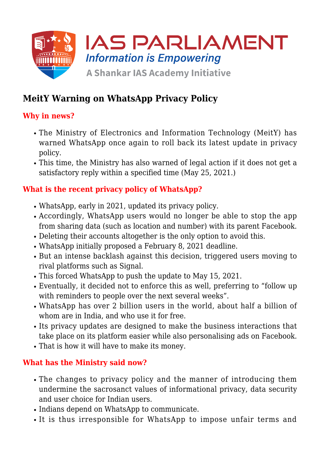

# **MeitY Warning on WhatsApp Privacy Policy**

### **Why in news?**

- The Ministry of Electronics and Information Technology (MeitY) has warned WhatsApp once again to roll back its latest update in privacy policy.
- This time, the Ministry has also warned of legal action if it does not get a satisfactory reply within a specified time (May 25, 2021.)

## **What is the recent privacy policy of WhatsApp?**

- WhatsApp, early in 2021, updated its privacy policy.
- Accordingly, WhatsApp users would no longer be able to stop the app from sharing data (such as location and number) with its parent Facebook.
- Deleting their accounts altogether is the only option to avoid this.
- WhatsApp initially proposed a February 8, 2021 deadline.
- But an intense backlash against this decision, triggered users moving to rival platforms such as Signal.
- This forced WhatsApp to push the update to May 15, 2021.
- Eventually, it decided not to enforce this as well, preferring to "follow up with reminders to people over the next several weeks".
- WhatsApp has over 2 billion users in the world, about half a billion of whom are in India, and who use it for free.
- Its privacy updates are designed to make the business interactions that take place on its platform easier while also personalising ads on Facebook.
- That is how it will have to make its money.

#### **What has the Ministry said now?**

- The changes to privacy policy and the manner of introducing them undermine the sacrosanct values of informational privacy, data security and user choice for Indian users.
- Indians depend on WhatsApp to communicate.
- It is thus irresponsible for WhatsApp to impose unfair terms and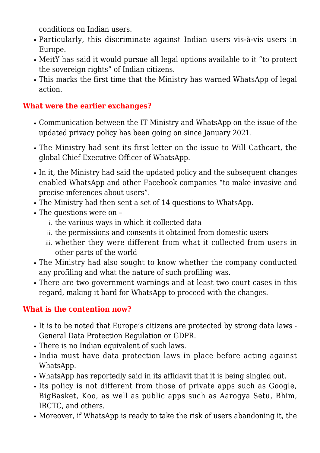conditions on Indian users.

- Particularly, this discriminate against Indian users vis-à-vis users in Europe.
- MeitY has said it would pursue all legal options available to it "to protect the sovereign rights" of Indian citizens.
- This marks the first time that the Ministry has warned WhatsApp of legal action.

#### **What were the earlier exchanges?**

- Communication between the IT Ministry and WhatsApp on the issue of the updated privacy policy has been going on since January 2021.
- The Ministry had sent its first letter on the issue to Will Cathcart, the global Chief Executive Officer of WhatsApp.
- In it, the Ministry had said the updated policy and the subsequent changes enabled WhatsApp and other Facebook companies "to make invasive and precise inferences about users".
- The Ministry had then sent a set of 14 questions to WhatsApp.
- The questions were on
	- i. the various ways in which it collected data
	- ii. the permissions and consents it obtained from domestic users
	- iii. whether they were different from what it collected from users in other parts of the world
- The Ministry had also sought to know whether the company conducted any profiling and what the nature of such profiling was.
- There are two government warnings and at least two court cases in this regard, making it hard for WhatsApp to proceed with the changes.

#### **What is the contention now?**

- It is to be noted that Europe's citizens are protected by strong data laws -General Data Protection Regulation or GDPR.
- There is no Indian equivalent of such laws.
- India must have data protection laws in place before acting against WhatsApp.
- WhatsApp has reportedly said in its affidavit that it is being singled out.
- Its policy is not different from those of private apps such as Google, BigBasket, Koo, as well as public apps such as Aarogya Setu, Bhim, IRCTC, and others.
- Moreover, if WhatsApp is ready to take the risk of users abandoning it, the